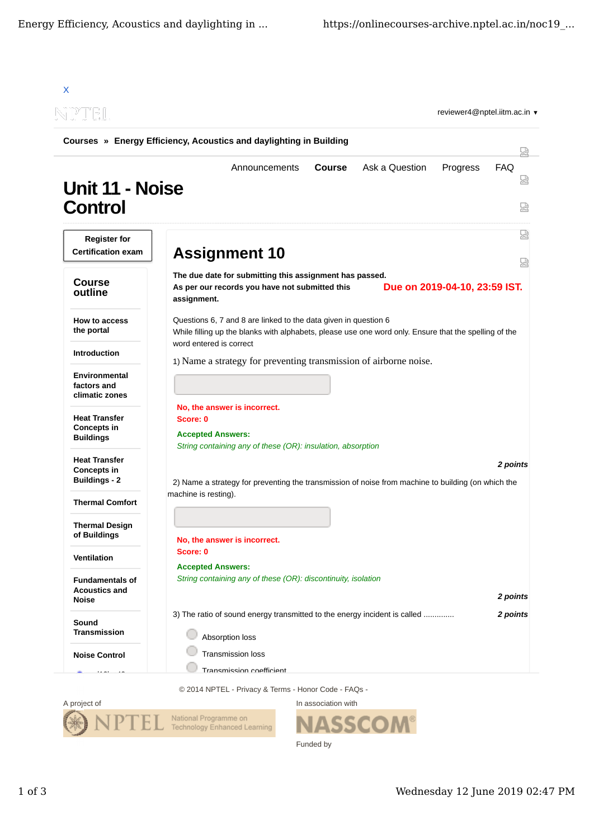

A project of National Programme on Technology Enhanced Learning

**SS** Funded by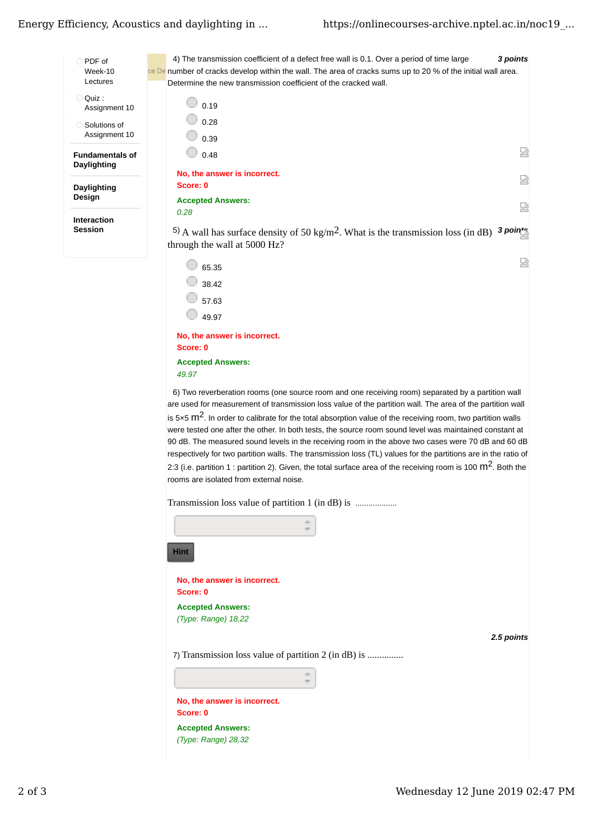## Energy Efficiency, Acoustics and daylighting in ...



**Accepted Answers:** 49.97 6) Two reverberation rooms (one source room and one receiving room) separated by a partition wall are used for measurement of transmission loss value of the partition wall. The area of the partition wall is 5×5  $\mathrm{m}^2$ . In order to calibrate for the total absorption value of the receiving room, two partition walls were tested one after the other. In both tests, the source room sound level was maintained constant at 90 dB. The measured sound levels in the receiving room in the above two cases were 70 dB and 60 dB respectively for two partition walls. The transmission loss (TL) values for the partitions are in the ratio of 2:3 (i.e. partition 1 : partition 2). Given, the total surface area of the receiving room is 100  $\text{m}^2$ . Both the rooms are isolated from external noise.

Transmission loss value of partition 1 (in dB) is ...................

 $\bigcirc$  49.97

Score: 0

 $\overline{7}$ 

No, the answer is incorrect.

| as.                                                  |            |
|------------------------------------------------------|------------|
| <b>Hint</b>                                          |            |
| No, the answer is incorrect.<br>Score: 0             |            |
| <b>Accepted Answers:</b>                             |            |
| (Type: Range) 18,22                                  |            |
|                                                      | 2.5 points |
| 7) Transmission loss value of partition 2 (in dB) is |            |
| 函                                                    |            |
| No, the answer is incorrect.                         |            |
| Score: 0                                             |            |
| <b>Accepted Answers:</b>                             |            |
| (Type: Range) 28,32                                  |            |